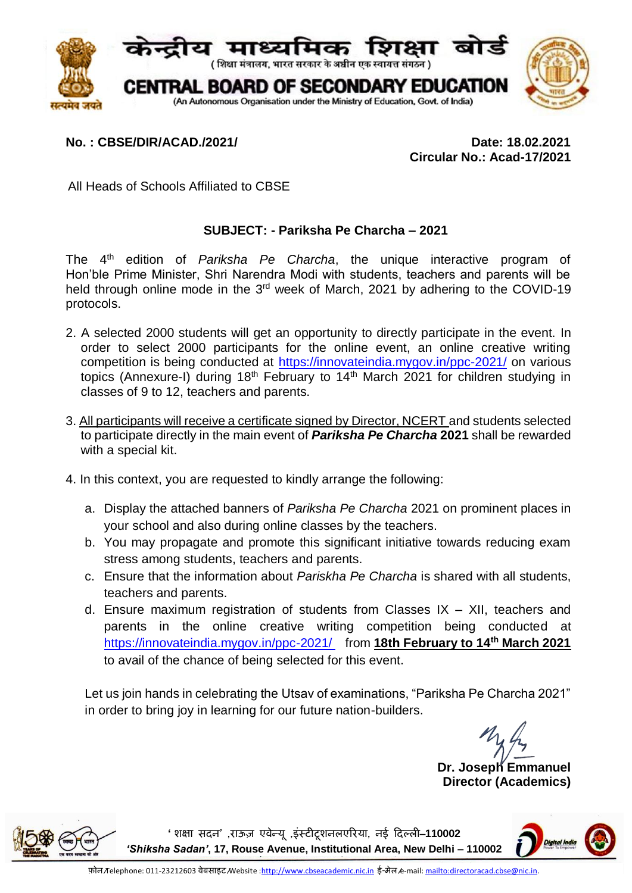

## **No. : CBSE/DIR/ACAD./2021/ Date: 18.02.2021**

 **Circular No.: Acad-17/2021**

All Heads of Schools Affiliated to CBSE

## **SUBJECT: - Pariksha Pe Charcha – 2021**

The 4th edition of *Pariksha Pe Charcha*, the unique interactive program of Hon'ble Prime Minister, Shri Narendra Modi with students, teachers and parents will be held through online mode in the 3<sup>rd</sup> week of March, 2021 by adhering to the COVID-19 protocols.

- 2. A selected 2000 students will get an opportunity to directly participate in the event. In order to select 2000 participants for the online event, an online creative writing competition is being conducted at<https://innovateindia.mygov.in/ppc-2021/> on various topics (Annexure-I) during  $18<sup>th</sup>$  February to  $14<sup>th</sup>$  March 2021 for children studying in classes of 9 to 12, teachers and parents.
- 3. All participants will receive a certificate signed by Director, NCERT and students selected to participate directly in the main event of *Pariksha Pe Charcha* **2021** shall be rewarded with a special kit.
- 4. In this context, you are requested to kindly arrange the following:
	- a. Display the attached banners of *Pariksha Pe Charcha* 2021 on prominent places in your school and also during online classes by the teachers.
	- b. You may propagate and promote this significant initiative towards reducing exam stress among students, teachers and parents.
	- c. Ensure that the information about *Pariskha Pe Charcha* is shared with all students, teachers and parents.
	- d. Ensure maximum registration of students from Classes IX XII, teachers and parents in the online creative writing competition being conducted at [https://innovateindia.mygov.in/ppc-2021/ f](https://innovateindia.mygov.in/ppc-2021/%20%20%20%20from)rom **18th February to 14th March 2021** to avail of the chance of being selected for this event.

Let us join hands in celebrating the Utsav of examinations, "Pariksha Pe Charcha 2021" in order to bring joy in learning for our future nation-builders.

**Dr. Joseph Emmanuel Director (Academics)**



**'शिक्षा सदन' ,राऊज़ एवन्े य , ू इंस्टीटूिनलएररया, नई ददल्ली**–**110002**  *'Shiksha Sadan'***, 17, Rouse Avenue, Institutional Area, New Delhi – 110002**

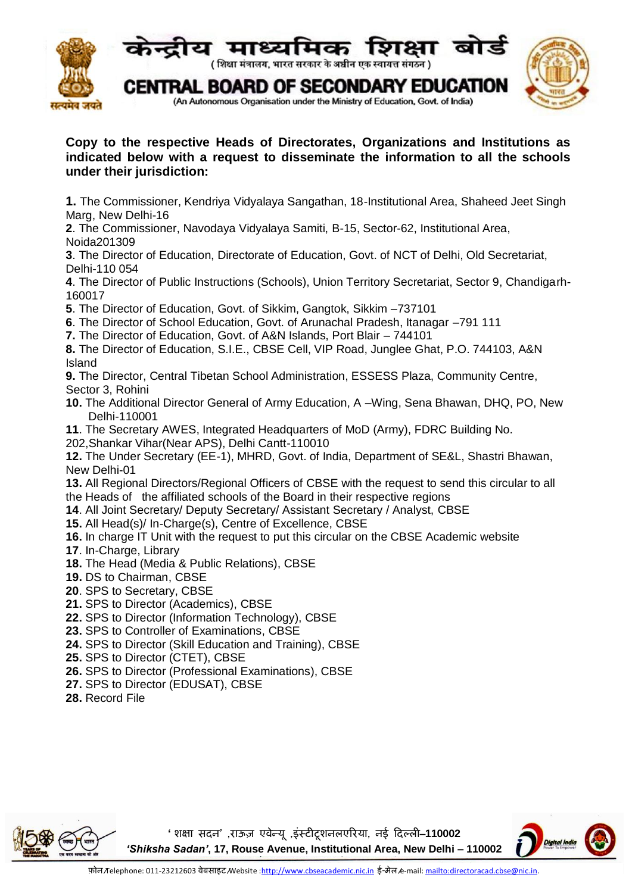

## **Copy to the respective Heads of Directorates, Organizations and Institutions as indicated below with a request to disseminate the information to all the schools under their jurisdiction:**

**1.** The Commissioner, Kendriya Vidyalaya Sangathan, 18-Institutional Area, Shaheed Jeet Singh Marg, New Delhi-16

**2**. The Commissioner, Navodaya Vidyalaya Samiti, B-15, Sector-62, Institutional Area, Noida201309

**3**. The Director of Education, Directorate of Education, Govt. of NCT of Delhi, Old Secretariat, Delhi-110 054

**4**. The Director of Public Instructions (Schools), Union Territory Secretariat, Sector 9, Chandigarh-160017

**5**. The Director of Education, Govt. of Sikkim, Gangtok, Sikkim –737101

**6**. The Director of School Education, Govt. of Arunachal Pradesh, Itanagar –791 111

**7.** The Director of Education, Govt. of A&N Islands, Port Blair – 744101

**8.** The Director of Education, S.I.E., CBSE Cell, VIP Road, Junglee Ghat, P.O. 744103, A&N Island

**9.** The Director, Central Tibetan School Administration, ESSESS Plaza, Community Centre, Sector 3, Rohini

- **10.** The Additional Director General of Army Education, A –Wing, Sena Bhawan, DHQ, PO, New Delhi-110001
- **11**. The Secretary AWES, Integrated Headquarters of MoD (Army), FDRC Building No.
- 202,Shankar Vihar(Near APS), Delhi Cantt-110010

**12.** The Under Secretary (EE-1), MHRD, Govt. of India, Department of SE&L, Shastri Bhawan, New Delhi-01

**13.** All Regional Directors/Regional Officers of CBSE with the request to send this circular to all the Heads of the affiliated schools of the Board in their respective regions

- **14**. All Joint Secretary/ Deputy Secretary/ Assistant Secretary / Analyst, CBSE
- **15.** All Head(s)/ In-Charge(s), Centre of Excellence, CBSE
- **16.** In charge IT Unit with the request to put this circular on the CBSE Academic website
- **17.** In-Charge, Library
- **18.** The Head (Media & Public Relations), CBSE
- **19.** DS to Chairman, CBSE
- **20**. SPS to Secretary, CBSE
- **21.** SPS to Director (Academics), CBSE
- **22.** SPS to Director (Information Technology), CBSE
- **23.** SPS to Controller of Examinations, CBSE
- **24.** SPS to Director (Skill Education and Training), CBSE
- **25.** SPS to Director (CTET), CBSE
- **26.** SPS to Director (Professional Examinations), CBSE
- **27.** SPS to Director (EDUSAT), CBSE
- **28.** Record File



**'शिक्षा सदन' ,राऊज़ एवन्े य , ू इंस्टीटूिनलएररया, नई ददल्ली**–**110002**  *'Shiksha Sadan'***, 17, Rouse Avenue, Institutional Area, New Delhi – 110002**

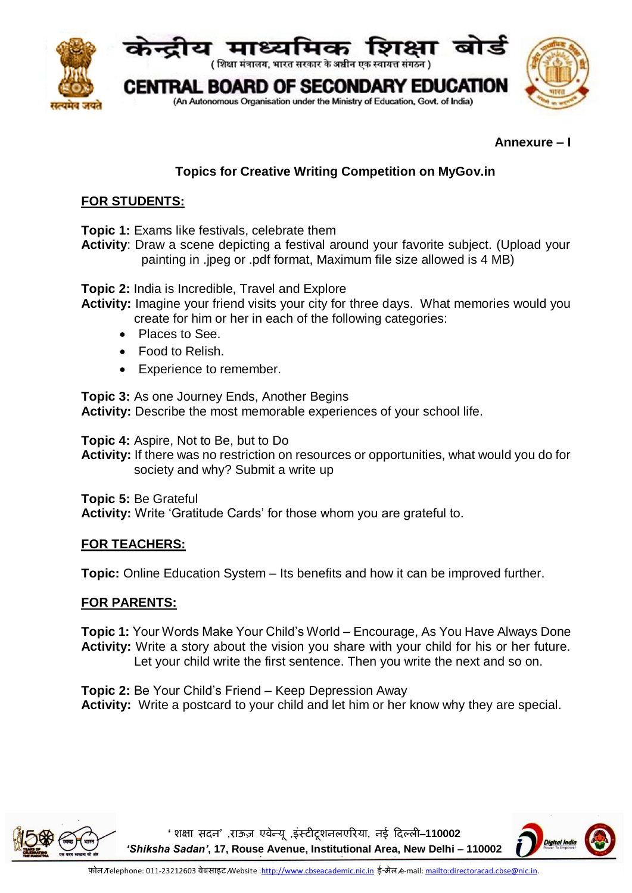

#### **Annexure – I**

# **Topics for Creative Writing Competition on MyGov.in**

### **FOR STUDENTS:**

**Topic 1:** Exams like festivals, celebrate them

**Activity**: Draw a scene depicting a festival around your favorite subject. (Upload your painting in .jpeg or .pdf format, Maximum file size allowed is 4 MB)

**Topic 2:** India is Incredible, Travel and Explore

- **Activity:** Imagine your friend visits your city for three days. What memories would you create for him or her in each of the following categories:
	- Places to See.
	- Food to Relish.
	- Experience to remember.

**Topic 3:** As one Journey Ends, Another Begins **Activity:** Describe the most memorable experiences of your school life.

**Topic 4:** Aspire, Not to Be, but to Do

**Activity:** If there was no restriction on resources or opportunities, what would you do for society and why? Submit a write up

**Topic 5:** Be Grateful

**Activity:** Write 'Gratitude Cards' for those whom you are grateful to.

## **FOR TEACHERS:**

**Topic:** Online Education System – Its benefits and how it can be improved further.

## **FOR PARENTS:**

**Topic 1:** Your Words Make Your Child's World – Encourage, As You Have Always Done **Activity:** Write a story about the vision you share with your child for his or her future. Let your child write the first sentence. Then you write the next and so on.

**Topic 2:** Be Your Child's Friend – Keep Depression Away **Activity:** Write a postcard to your child and let him or her know why they are special.



**'शिक्षा सदन' ,राऊज़ एवन्े य , ू इंस्टीटूिनलएररया, नई ददल्ली**–**110002**  *'Shiksha Sadan'***, 17, Rouse Avenue, Institutional Area, New Delhi – 110002**